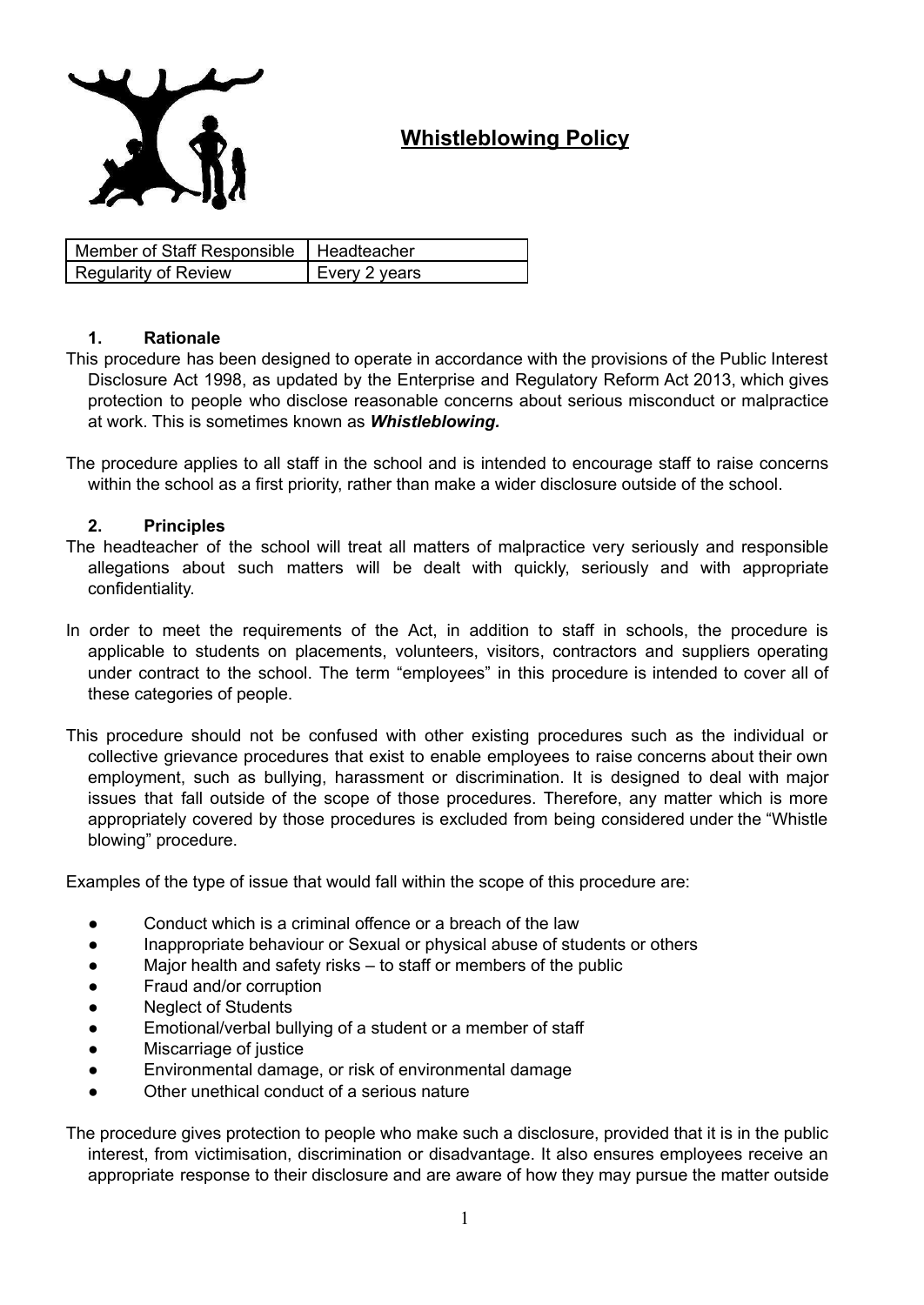

# **Whistleblowing Policy**

| Member of Staff Responsible   Headteacher |               |
|-------------------------------------------|---------------|
| <b>Regularity of Review</b>               | Every 2 years |

#### **1. Rationale**

This procedure has been designed to operate in accordance with the provisions of the Public Interest Disclosure Act 1998, as updated by the Enterprise and Regulatory Reform Act 2013, which gives protection to people who disclose reasonable concerns about serious misconduct or malpractice at work. This is sometimes known as *Whistleblowing.*

The procedure applies to all staff in the school and is intended to encourage staff to raise concerns within the school as a first priority, rather than make a wider disclosure outside of the school.

#### **2. Principles**

- The headteacher of the school will treat all matters of malpractice very seriously and responsible allegations about such matters will be dealt with quickly, seriously and with appropriate confidentiality.
- In order to meet the requirements of the Act, in addition to staff in schools, the procedure is applicable to students on placements, volunteers, visitors, contractors and suppliers operating under contract to the school. The term "employees" in this procedure is intended to cover all of these categories of people.
- This procedure should not be confused with other existing procedures such as the individual or collective grievance procedures that exist to enable employees to raise concerns about their own employment, such as bullying, harassment or discrimination. It is designed to deal with major issues that fall outside of the scope of those procedures. Therefore, any matter which is more appropriately covered by those procedures is excluded from being considered under the "Whistle blowing" procedure.

Examples of the type of issue that would fall within the scope of this procedure are:

- Conduct which is a criminal offence or a breach of the law
- Inappropriate behaviour or Sexual or physical abuse of students or others
- Major health and safety risks  $-$  to staff or members of the public
- Fraud and/or corruption
- **Neglect of Students**
- Emotional/verbal bullying of a student or a member of staff
- Miscarriage of justice
- Environmental damage, or risk of environmental damage
- Other unethical conduct of a serious nature

The procedure gives protection to people who make such a disclosure, provided that it is in the public interest, from victimisation, discrimination or disadvantage. It also ensures employees receive an appropriate response to their disclosure and are aware of how they may pursue the matter outside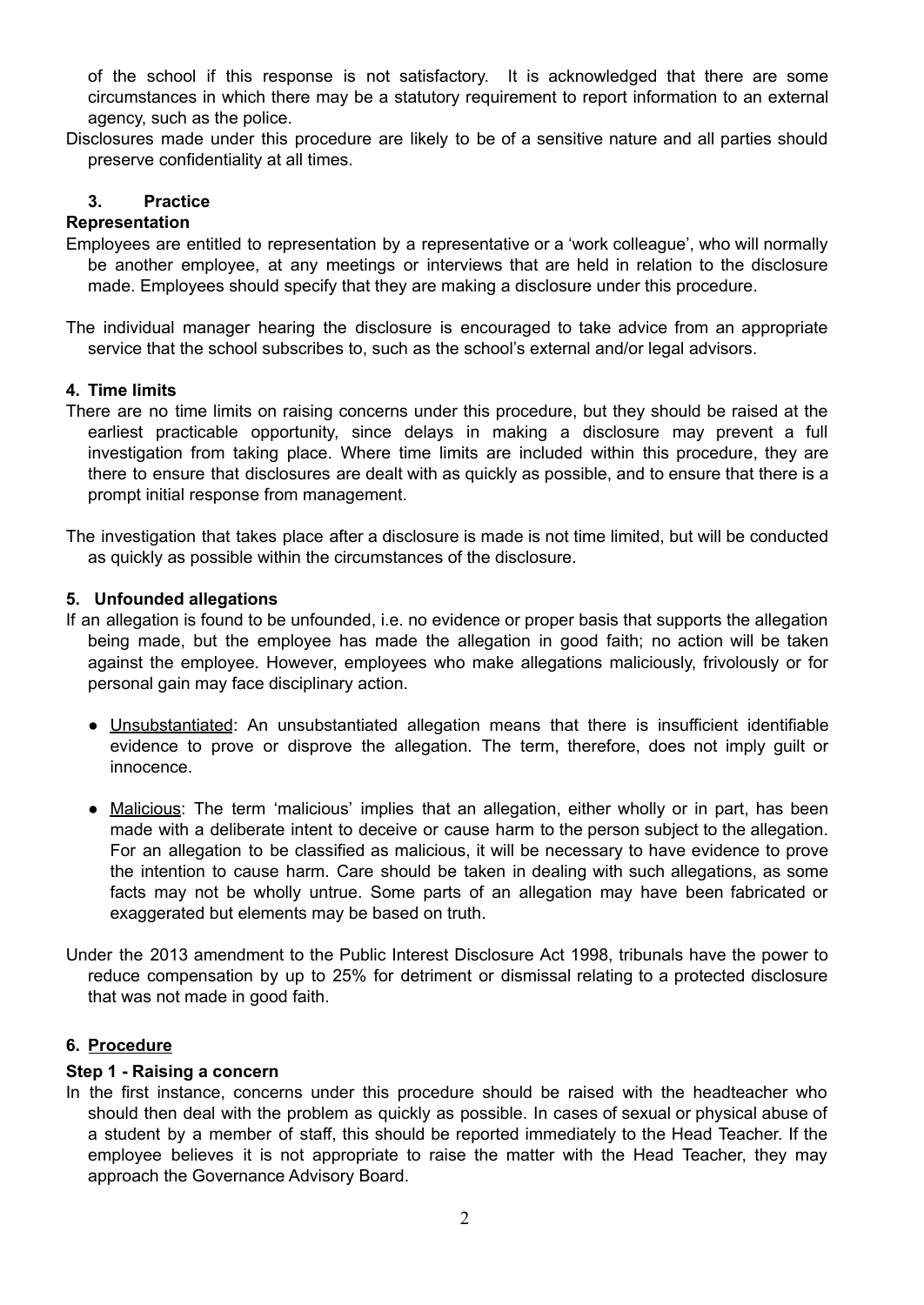of the school if this response is not satisfactory. It is acknowledged that there are some circumstances in which there may be a statutory requirement to report information to an external agency, such as the police.

Disclosures made under this procedure are likely to be of a sensitive nature and all parties should preserve confidentiality at all times.

### **3. Practice**

### **Representation**

- Employees are entitled to representation by a representative or a 'work colleague', who will normally be another employee, at any meetings or interviews that are held in relation to the disclosure made. Employees should specify that they are making a disclosure under this procedure.
- The individual manager hearing the disclosure is encouraged to take advice from an appropriate service that the school subscribes to, such as the school's external and/or legal advisors.

#### **4. Time limits**

- There are no time limits on raising concerns under this procedure, but they should be raised at the earliest practicable opportunity, since delays in making a disclosure may prevent a full investigation from taking place. Where time limits are included within this procedure, they are there to ensure that disclosures are dealt with as quickly as possible, and to ensure that there is a prompt initial response from management.
- The investigation that takes place after a disclosure is made is not time limited, but will be conducted as quickly as possible within the circumstances of the disclosure.

#### **5. Unfounded allegations**

- If an allegation is found to be unfounded, i.e. no evidence or proper basis that supports the allegation being made, but the employee has made the allegation in good faith; no action will be taken against the employee. However, employees who make allegations maliciously, frivolously or for personal gain may face disciplinary action.
	- Unsubstantiated: An unsubstantiated allegation means that there is insufficient identifiable evidence to prove or disprove the allegation. The term, therefore, does not imply guilt or innocence.
	- Malicious: The term 'malicious' implies that an allegation, either wholly or in part, has been made with a deliberate intent to deceive or cause harm to the person subject to the allegation. For an allegation to be classified as malicious, it will be necessary to have evidence to prove the intention to cause harm. Care should be taken in dealing with such allegations, as some facts may not be wholly untrue. Some parts of an allegation may have been fabricated or exaggerated but elements may be based on truth.
- Under the 2013 amendment to the Public Interest Disclosure Act 1998, tribunals have the power to reduce compensation by up to 25% for detriment or dismissal relating to a protected disclosure that was not made in good faith.

#### **6. Procedure**

#### **Step 1 - Raising a concern**

In the first instance, concerns under this procedure should be raised with the headteacher who should then deal with the problem as quickly as possible. In cases of sexual or physical abuse of a student by a member of staff, this should be reported immediately to the Head Teacher. If the employee believes it is not appropriate to raise the matter with the Head Teacher, they may approach the Governance Advisory Board.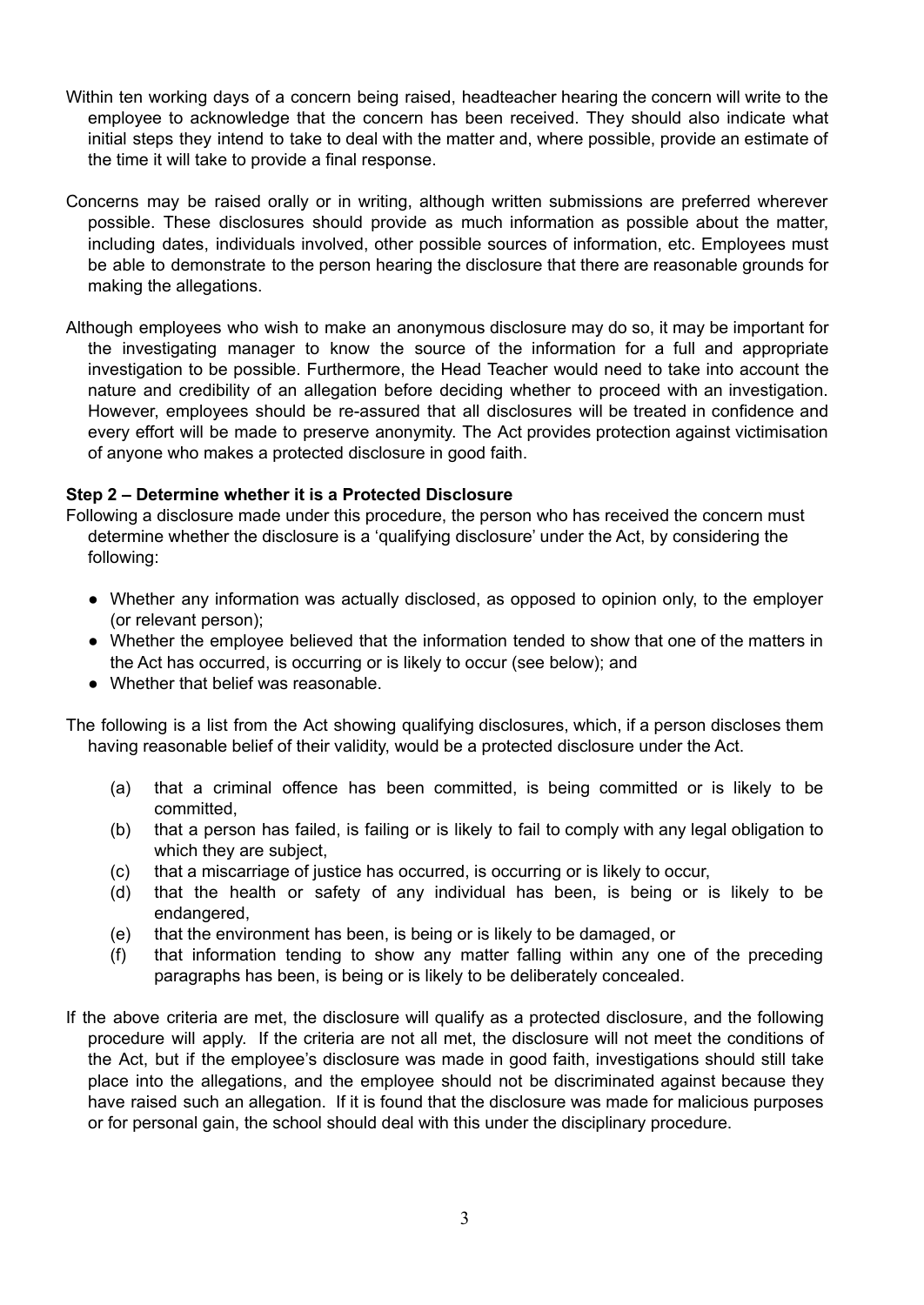- Within ten working days of a concern being raised, headteacher hearing the concern will write to the employee to acknowledge that the concern has been received. They should also indicate what initial steps they intend to take to deal with the matter and, where possible, provide an estimate of the time it will take to provide a final response.
- Concerns may be raised orally or in writing, although written submissions are preferred wherever possible. These disclosures should provide as much information as possible about the matter, including dates, individuals involved, other possible sources of information, etc. Employees must be able to demonstrate to the person hearing the disclosure that there are reasonable grounds for making the allegations.
- Although employees who wish to make an anonymous disclosure may do so, it may be important for the investigating manager to know the source of the information for a full and appropriate investigation to be possible. Furthermore, the Head Teacher would need to take into account the nature and credibility of an allegation before deciding whether to proceed with an investigation. However, employees should be re-assured that all disclosures will be treated in confidence and every effort will be made to preserve anonymity. The Act provides protection against victimisation of anyone who makes a protected disclosure in good faith.

#### **Step 2 – Determine whether it is a Protected Disclosure**

- Following a disclosure made under this procedure, the person who has received the concern must determine whether the disclosure is a 'qualifying disclosure' under the Act, by considering the following:
	- Whether any information was actually disclosed, as opposed to opinion only, to the employer (or relevant person);
	- Whether the employee believed that the information tended to show that one of the matters in the Act has occurred, is occurring or is likely to occur (see below); and
	- Whether that belief was reasonable.

The following is a list from the Act showing qualifying disclosures, which, if a person discloses them having reasonable belief of their validity, would be a protected disclosure under the Act.

- (a) that a criminal offence has been committed, is being committed or is likely to be committed,
- (b) that a person has failed, is failing or is likely to fail to comply with any legal obligation to which they are subject,
- (c) that a miscarriage of justice has occurred, is occurring or is likely to occur,
- (d) that the health or safety of any individual has been, is being or is likely to be endangered,
- (e) that the environment has been, is being or is likely to be damaged, or
- (f) that information tending to show any matter falling within any one of the preceding paragraphs has been, is being or is likely to be deliberately concealed.
- If the above criteria are met, the disclosure will qualify as a protected disclosure, and the following procedure will apply. If the criteria are not all met, the disclosure will not meet the conditions of the Act, but if the employee's disclosure was made in good faith, investigations should still take place into the allegations, and the employee should not be discriminated against because they have raised such an allegation. If it is found that the disclosure was made for malicious purposes or for personal gain, the school should deal with this under the disciplinary procedure.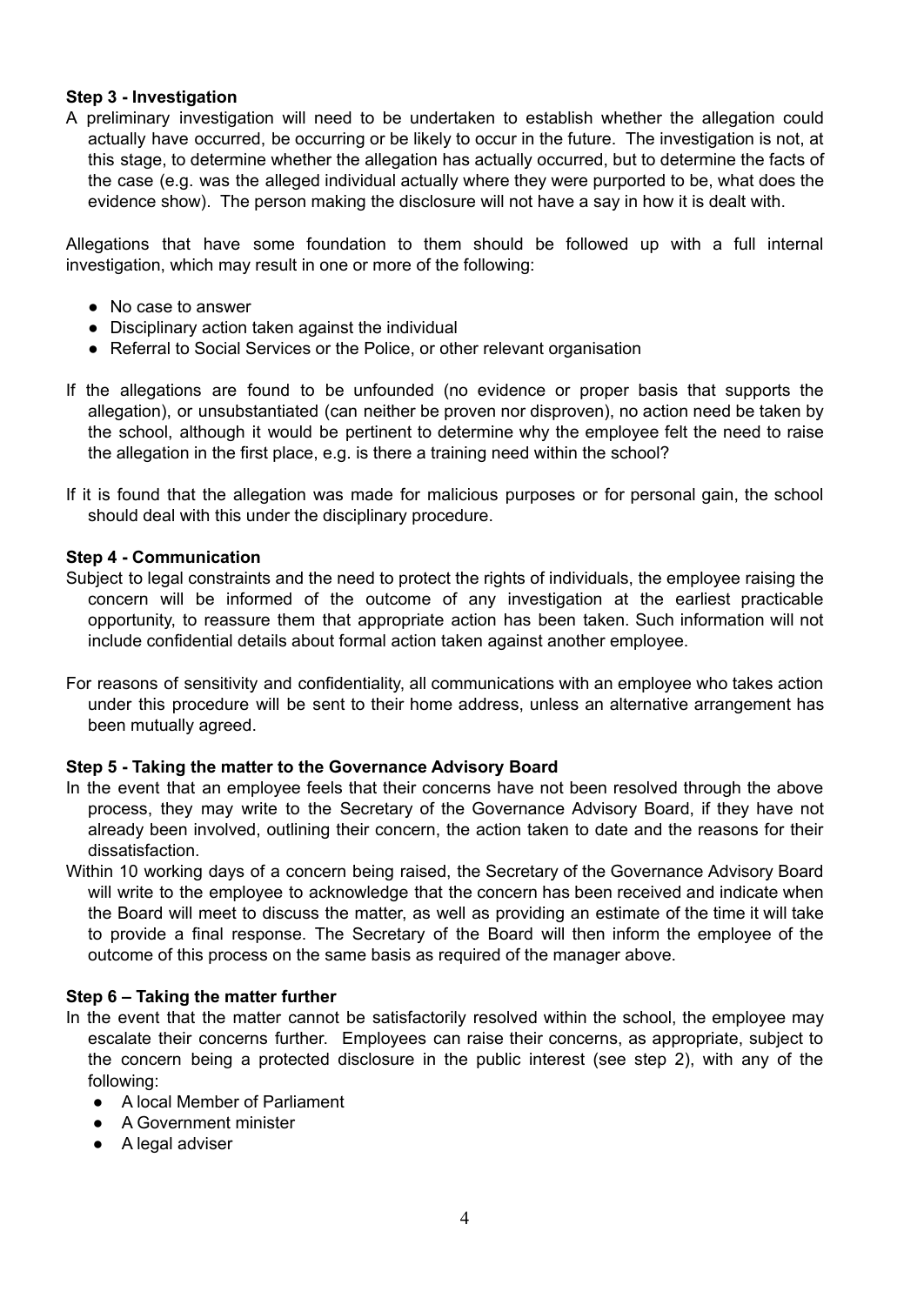#### **Step 3 - Investigation**

A preliminary investigation will need to be undertaken to establish whether the allegation could actually have occurred, be occurring or be likely to occur in the future. The investigation is not, at this stage, to determine whether the allegation has actually occurred, but to determine the facts of the case (e.g. was the alleged individual actually where they were purported to be, what does the evidence show). The person making the disclosure will not have a say in how it is dealt with.

Allegations that have some foundation to them should be followed up with a full internal investigation, which may result in one or more of the following:

- No case to answer
- Disciplinary action taken against the individual
- Referral to Social Services or the Police, or other relevant organisation
- If the allegations are found to be unfounded (no evidence or proper basis that supports the allegation), or unsubstantiated (can neither be proven nor disproven), no action need be taken by the school, although it would be pertinent to determine why the employee felt the need to raise the allegation in the first place, e.g. is there a training need within the school?
- If it is found that the allegation was made for malicious purposes or for personal gain, the school should deal with this under the disciplinary procedure.

#### **Step 4 - Communication**

- Subject to legal constraints and the need to protect the rights of individuals, the employee raising the concern will be informed of the outcome of any investigation at the earliest practicable opportunity, to reassure them that appropriate action has been taken. Such information will not include confidential details about formal action taken against another employee.
- For reasons of sensitivity and confidentiality, all communications with an employee who takes action under this procedure will be sent to their home address, unless an alternative arrangement has been mutually agreed.

#### **Step 5 - Taking the matter to the Governance Advisory Board**

- In the event that an employee feels that their concerns have not been resolved through the above process, they may write to the Secretary of the Governance Advisory Board, if they have not already been involved, outlining their concern, the action taken to date and the reasons for their dissatisfaction.
- Within 10 working days of a concern being raised, the Secretary of the Governance Advisory Board will write to the employee to acknowledge that the concern has been received and indicate when the Board will meet to discuss the matter, as well as providing an estimate of the time it will take to provide a final response. The Secretary of the Board will then inform the employee of the outcome of this process on the same basis as required of the manager above.

#### **Step 6 – Taking the matter further**

- In the event that the matter cannot be satisfactorily resolved within the school, the employee may escalate their concerns further. Employees can raise their concerns, as appropriate, subject to the concern being a protected disclosure in the public interest (see step 2), with any of the following:
	- A local Member of Parliament
	- A Government minister
	- A legal adviser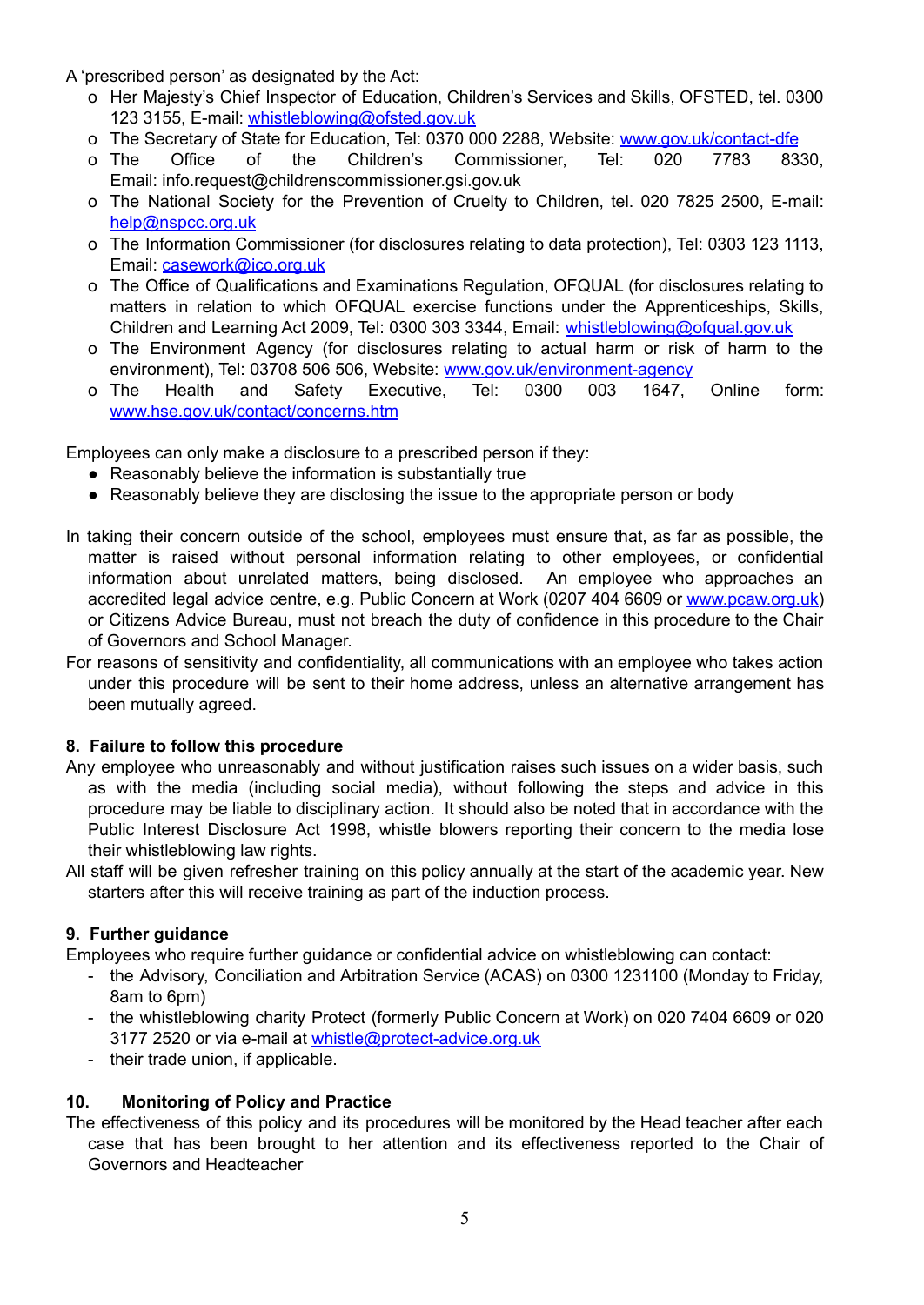A 'prescribed person' as designated by the Act:

- o Her Majesty's Chief Inspector of Education, Children's Services and Skills, OFSTED, tel. 0300 123 3155, E-mail: [whistleblowing@ofsted.gov.uk](mailto:whistleblowing@ofsted.gov.uk)
- o The Secretary of State for Education, Tel: 0370 000 2288, Website: [www.gov.uk/contact-dfe](http://www.gov.uk/contact-dfe)
- o The Office of the Children's Commissioner, Tel: 020 7783 8330, Email: [info.request@childrenscommissioner.gsi.gov.uk](mailto:info.request@childrenscommissioner.gsi.gov.uk)
- o The National Society for the Prevention of Cruelty to Children, tel. 020 7825 2500, E-mail: [help@nspcc.org.uk](mailto:help@nspcc.org.uk)
- o The Information Commissioner (for disclosures relating to data protection), Tel: 0303 123 1113, Email: [casework@ico.org.uk](mailto:casework@ico.org.uk)
- o The Office of Qualifications and Examinations Regulation, OFQUAL (for disclosures relating to matters in relation to which OFQUAL exercise functions under the Apprenticeships, Skills, Children and Learning Act 2009, Tel: 0300 303 3344, Email: [whistleblowing@ofqual.gov.uk](mailto:whistleblowing@ofqual.gov.uk)
- o The Environment Agency (for disclosures relating to actual harm or risk of harm to the environment), Tel: 03708 506 506, Website: [www.gov.uk/environment-agency](http://www.gov.uk/environment-agency)
- o The Health and Safety Executive, Tel: 0300 003 1647, Online form: [www.hse.gov.uk/contact/concerns.htm](http://www.hse.gov.uk/contact/concerns.htm)

Employees can only make a disclosure to a prescribed person if they:

- Reasonably believe the information is substantially true
- Reasonably believe they are disclosing the issue to the appropriate person or body
- In taking their concern outside of the school, employees must ensure that, as far as possible, the matter is raised without personal information relating to other employees, or confidential information about unrelated matters, being disclosed. An employee who approaches an accredited legal advice centre, e.g. Public Concern at Work (0207 404 6609 or [www.pcaw.org.uk](http://www.pcaw.org.uk)) or Citizens Advice Bureau, must not breach the duty of confidence in this procedure to the Chair of Governors and School Manager.
- For reasons of sensitivity and confidentiality, all communications with an employee who takes action under this procedure will be sent to their home address, unless an alternative arrangement has been mutually agreed.

#### **8. Failure to follow this procedure**

- Any employee who unreasonably and without justification raises such issues on a wider basis, such as with the media (including social media), without following the steps and advice in this procedure may be liable to disciplinary action. It should also be noted that in accordance with the Public Interest Disclosure Act 1998, whistle blowers reporting their concern to the media lose their whistleblowing law rights.
- All staff will be given refresher training on this policy annually at the start of the academic year. New starters after this will receive training as part of the induction process.

### **9. Further guidance**

Employees who require further guidance or confidential advice on whistleblowing can contact:

- the Advisory, Conciliation and Arbitration Service (ACAS) on 0300 1231100 (Monday to Friday, 8am to 6pm)
- the whistleblowing charity Protect (formerly Public Concern at Work) on 020 7404 6609 or 020 3177 2520 or via e-mail at [whistle@protect-advice.org.uk](mailto:whistle@protect-advice.org.uk)
- their trade union, if applicable.

### **10. Monitoring of Policy and Practice**

The effectiveness of this policy and its procedures will be monitored by the Head teacher after each case that has been brought to her attention and its effectiveness reported to the Chair of Governors and Headteacher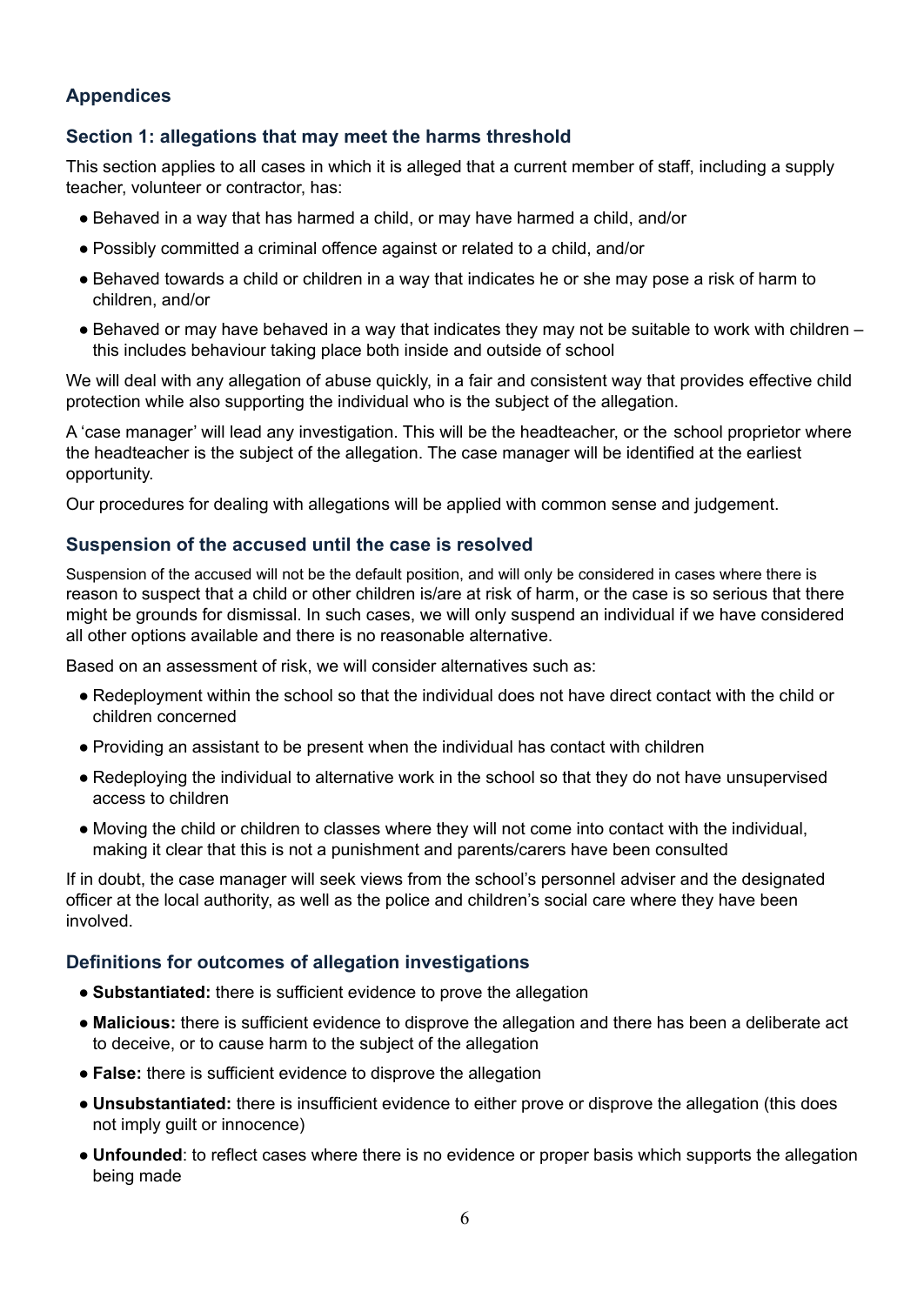# **Appendices**

#### **Section 1: allegations that may meet the harms threshold**

This section applies to all cases in which it is alleged that a current member of staff, including a supply teacher, volunteer or contractor, has:

- Behaved in a way that has harmed a child, or may have harmed a child, and/or
- Possibly committed a criminal offence against or related to a child, and/or
- Behaved towards a child or children in a way that indicates he or she may pose a risk of harm to children, and/or
- Behaved or may have behaved in a way that indicates they may not be suitable to work with children this includes behaviour taking place both inside and outside of school

We will deal with any allegation of abuse quickly, in a fair and consistent way that provides effective child protection while also supporting the individual who is the subject of the allegation.

A 'case manager' will lead any investigation. This will be the headteacher, or the school proprietor where the headteacher is the subject of the allegation. The case manager will be identified at the earliest opportunity.

Our procedures for dealing with allegations will be applied with common sense and judgement.

#### **Suspension of the accused until the case is resolved**

Suspension of the accused will not be the default position, and will only be considered in cases where there is reason to suspect that a child or other children is/are at risk of harm, or the case is so serious that there might be grounds for dismissal. In such cases, we will only suspend an individual if we have considered all other options available and there is no reasonable alternative.

Based on an assessment of risk, we will consider alternatives such as:

- Redeployment within the school so that the individual does not have direct contact with the child or children concerned
- Providing an assistant to be present when the individual has contact with children
- Redeploying the individual to alternative work in the school so that they do not have unsupervised access to children
- Moving the child or children to classes where they will not come into contact with the individual, making it clear that this is not a punishment and parents/carers have been consulted

If in doubt, the case manager will seek views from the school's personnel adviser and the designated officer at the local authority, as well as the police and children's social care where they have been involved.

#### **Definitions for outcomes of allegation investigations**

- **Substantiated:** there is sufficient evidence to prove the allegation
- **Malicious:** there is sufficient evidence to disprove the allegation and there has been a deliberate act to deceive, or to cause harm to the subject of the allegation
- **False:** there is sufficient evidence to disprove the allegation
- **Unsubstantiated:** there is insufficient evidence to either prove or disprove the allegation (this does not imply guilt or innocence)
- **Unfounded**: to reflect cases where there is no evidence or proper basis which supports the allegation being made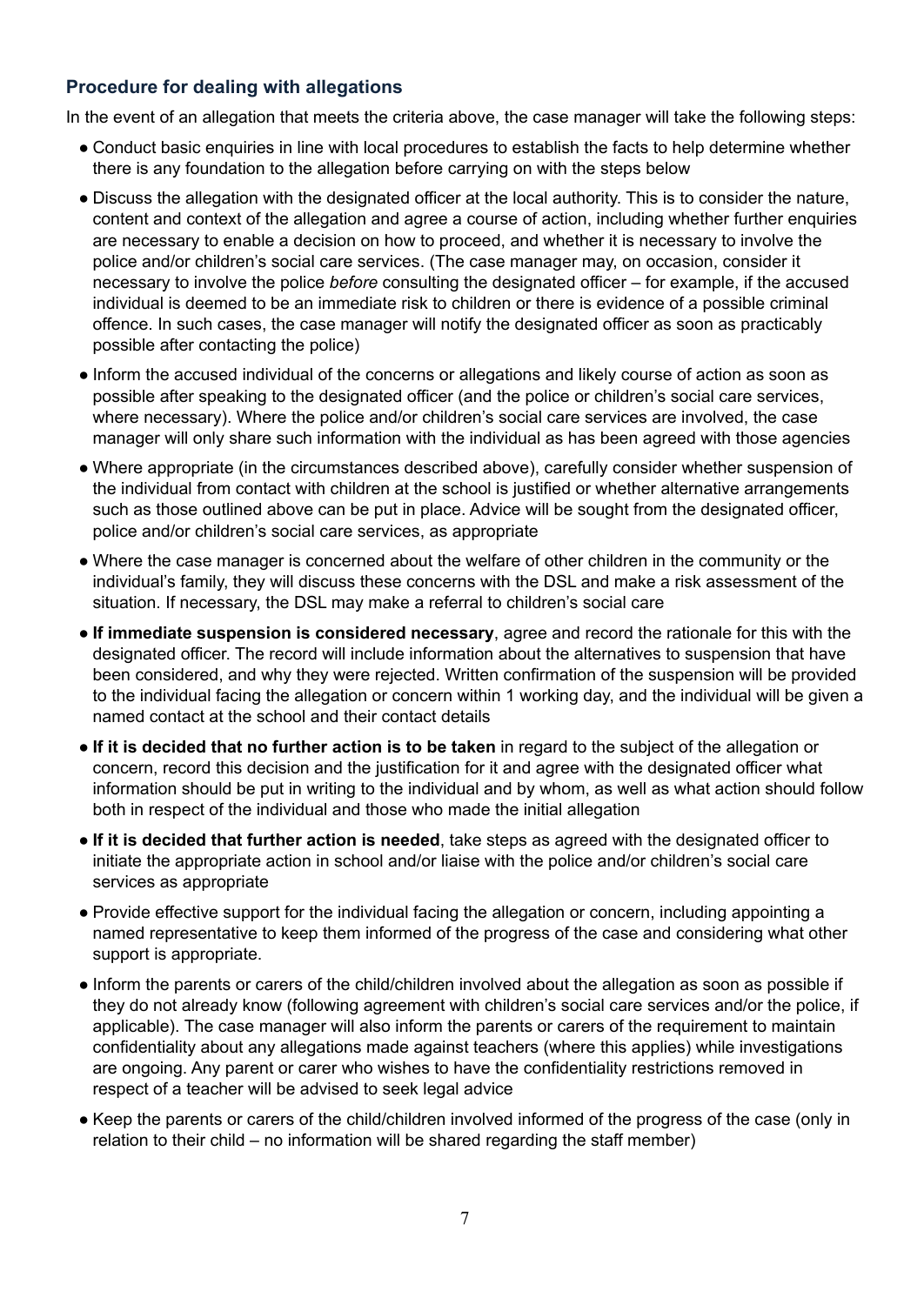# **Procedure for dealing with allegations**

In the event of an allegation that meets the criteria above, the case manager will take the following steps:

- Conduct basic enquiries in line with local procedures to establish the facts to help determine whether there is any foundation to the allegation before carrying on with the steps below
- Discuss the allegation with the designated officer at the local authority. This is to consider the nature, content and context of the allegation and agree a course of action, including whether further enquiries are necessary to enable a decision on how to proceed, and whether it is necessary to involve the police and/or children's social care services. (The case manager may, on occasion, consider it necessary to involve the police *before* consulting the designated officer – for example, if the accused individual is deemed to be an immediate risk to children or there is evidence of a possible criminal offence. In such cases, the case manager will notify the designated officer as soon as practicably possible after contacting the police)
- Inform the accused individual of the concerns or allegations and likely course of action as soon as possible after speaking to the designated officer (and the police or children's social care services, where necessary). Where the police and/or children's social care services are involved, the case manager will only share such information with the individual as has been agreed with those agencies
- Where appropriate (in the circumstances described above), carefully consider whether suspension of the individual from contact with children at the school is justified or whether alternative arrangements such as those outlined above can be put in place. Advice will be sought from the designated officer, police and/or children's social care services, as appropriate
- Where the case manager is concerned about the welfare of other children in the community or the individual's family, they will discuss these concerns with the DSL and make a risk assessment of the situation. If necessary, the DSL may make a referral to children's social care
- **If immediate suspension is considered necessary**, agree and record the rationale for this with the designated officer. The record will include information about the alternatives to suspension that have been considered, and why they were rejected. Written confirmation of the suspension will be provided to the individual facing the allegation or concern within 1 working day, and the individual will be given a named contact at the school and their contact details
- **If it is decided that no further action is to be taken** in regard to the subject of the allegation or concern, record this decision and the justification for it and agree with the designated officer what information should be put in writing to the individual and by whom, as well as what action should follow both in respect of the individual and those who made the initial allegation
- **If it is decided that further action is needed**, take steps as agreed with the designated officer to initiate the appropriate action in school and/or liaise with the police and/or children's social care services as appropriate
- Provide effective support for the individual facing the allegation or concern, including appointing a named representative to keep them informed of the progress of the case and considering what other support is appropriate.
- Inform the parents or carers of the child/children involved about the allegation as soon as possible if they do not already know (following agreement with children's social care services and/or the police, if applicable). The case manager will also inform the parents or carers of the requirement to maintain confidentiality about any allegations made against teachers (where this applies) while investigations are ongoing. Any parent or carer who wishes to have the confidentiality restrictions removed in respect of a teacher will be advised to seek legal advice
- Keep the parents or carers of the child/children involved informed of the progress of the case (only in relation to their child – no information will be shared regarding the staff member)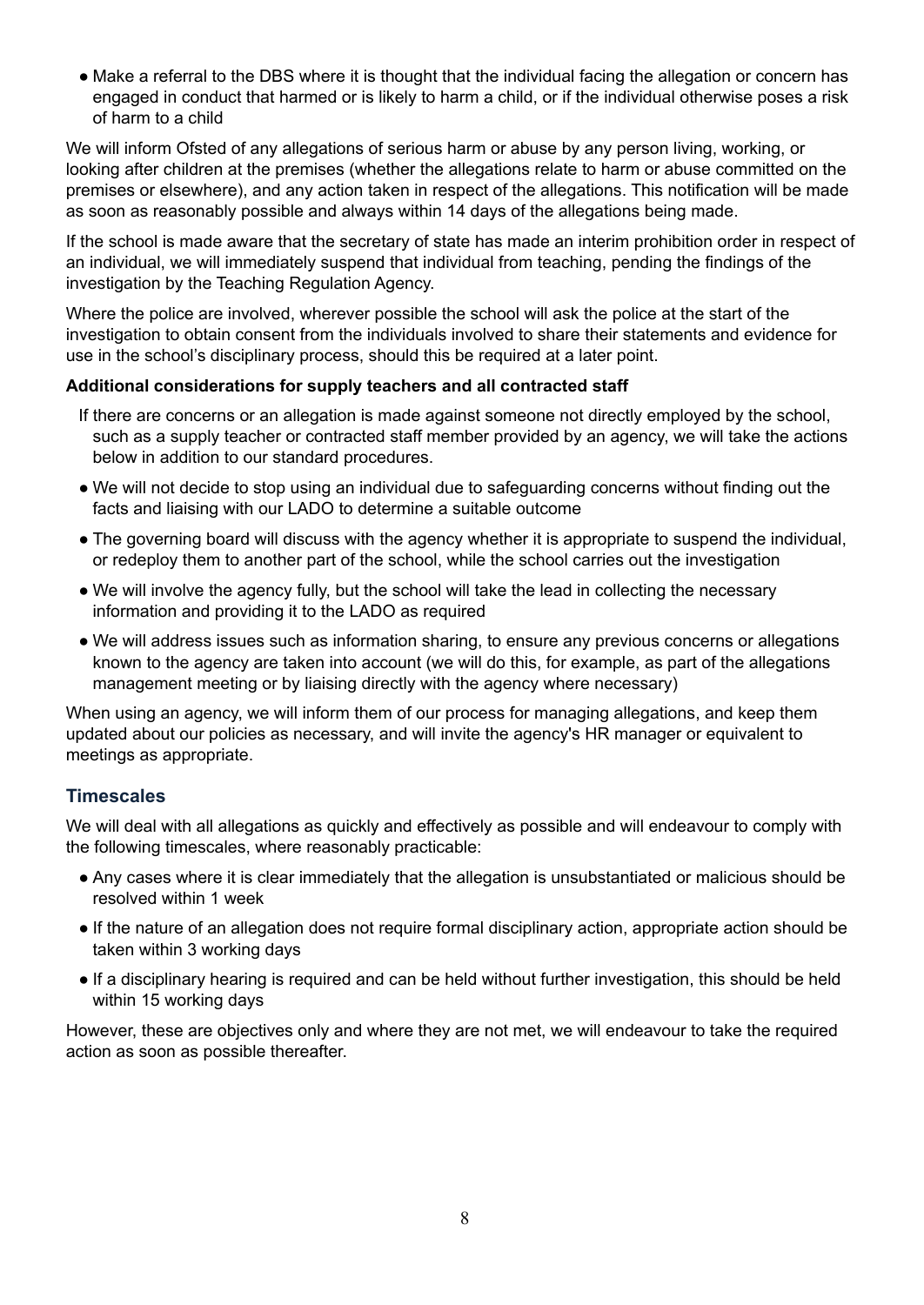• Make a referral to the DBS where it is thought that the individual facing the allegation or concern has engaged in conduct that harmed or is likely to harm a child, or if the individual otherwise poses a risk of harm to a child

We will inform Ofsted of any allegations of serious harm or abuse by any person living, working, or looking after children at the premises (whether the allegations relate to harm or abuse committed on the premises or elsewhere), and any action taken in respect of the allegations. This notification will be made as soon as reasonably possible and always within 14 days of the allegations being made.

If the school is made aware that the secretary of state has made an interim prohibition order in respect of an individual, we will immediately suspend that individual from teaching, pending the findings of the investigation by the Teaching Regulation Agency.

Where the police are involved, wherever possible the school will ask the police at the start of the investigation to obtain consent from the individuals involved to share their statements and evidence for use in the school's disciplinary process, should this be required at a later point.

#### **Additional considerations for supply teachers and all contracted staff**

- If there are concerns or an allegation is made against someone not directly employed by the school, such as a supply teacher or contracted staff member provided by an agency, we will take the actions below in addition to our standard procedures.
- We will not decide to stop using an individual due to safeguarding concerns without finding out the facts and liaising with our LADO to determine a suitable outcome
- The governing board will discuss with the agency whether it is appropriate to suspend the individual, or redeploy them to another part of the school, while the school carries out the investigation
- We will involve the agency fully, but the school will take the lead in collecting the necessary information and providing it to the LADO as required
- We will address issues such as information sharing, to ensure any previous concerns or allegations known to the agency are taken into account (we will do this, for example, as part of the allegations management meeting or by liaising directly with the agency where necessary)

When using an agency, we will inform them of our process for managing allegations, and keep them updated about our policies as necessary, and will invite the agency's HR manager or equivalent to meetings as appropriate.

### **Timescales**

We will deal with all allegations as quickly and effectively as possible and will endeavour to comply with the following timescales, where reasonably practicable:

- Any cases where it is clear immediately that the allegation is unsubstantiated or malicious should be resolved within 1 week
- If the nature of an allegation does not require formal disciplinary action, appropriate action should be taken within 3 working days
- If a disciplinary hearing is required and can be held without further investigation, this should be held within 15 working days

However, these are objectives only and where they are not met, we will endeavour to take the required action as soon as possible thereafter.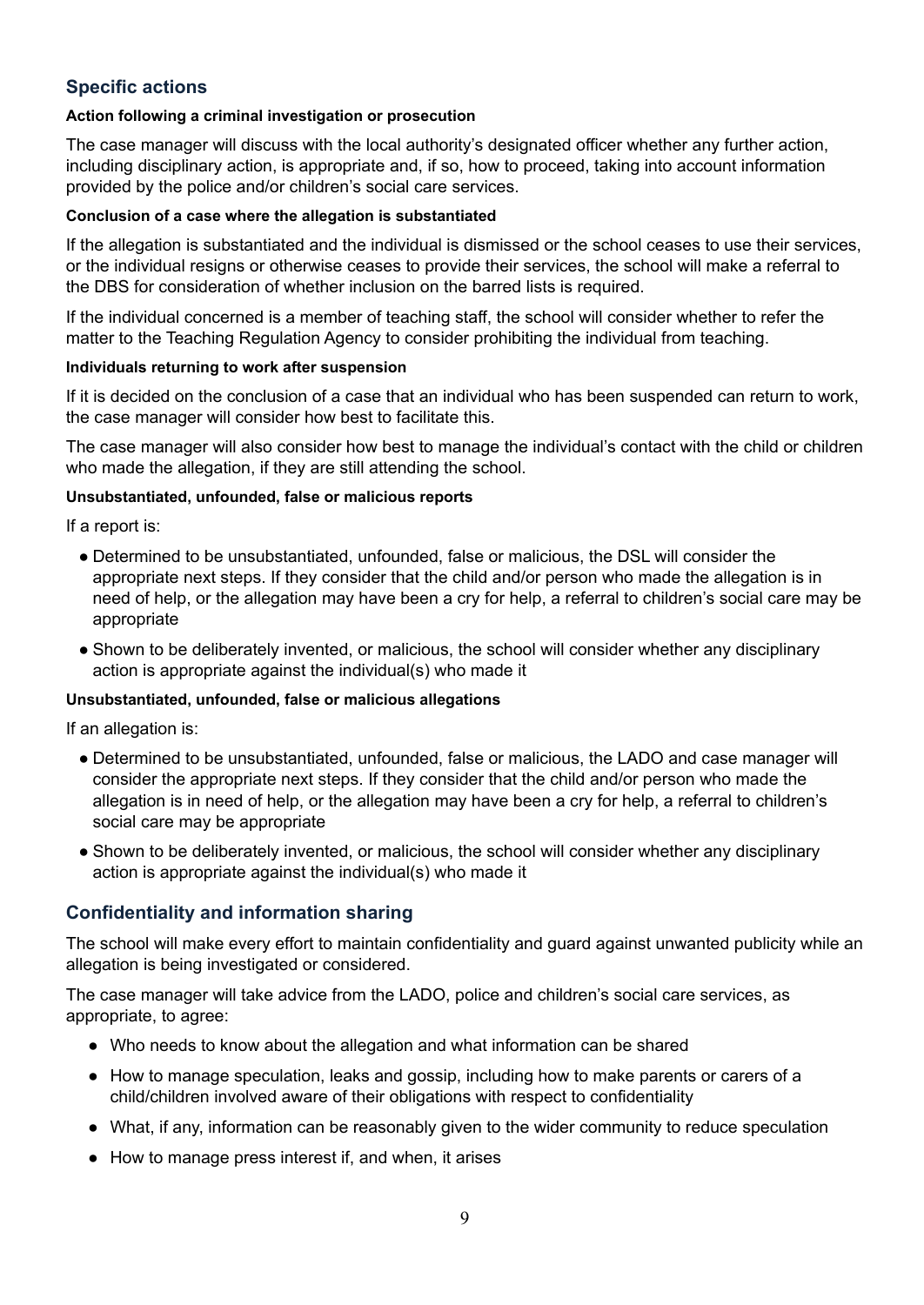# **Specific actions**

#### **Action following a criminal investigation or prosecution**

The case manager will discuss with the local authority's designated officer whether any further action, including disciplinary action, is appropriate and, if so, how to proceed, taking into account information provided by the police and/or children's social care services.

#### **Conclusion of a case where the allegation is substantiated**

If the allegation is substantiated and the individual is dismissed or the school ceases to use their services, or the individual resigns or otherwise ceases to provide their services, the school will make a referral to the DBS for consideration of whether inclusion on the barred lists is required.

If the individual concerned is a member of teaching staff, the school will consider whether to refer the matter to the Teaching Regulation Agency to consider prohibiting the individual from teaching.

#### **Individuals returning to work after suspension**

If it is decided on the conclusion of a case that an individual who has been suspended can return to work, the case manager will consider how best to facilitate this.

The case manager will also consider how best to manage the individual's contact with the child or children who made the allegation, if they are still attending the school.

#### **Unsubstantiated, unfounded, false or malicious reports**

If a report is:

- Determined to be unsubstantiated, unfounded, false or malicious, the DSL will consider the appropriate next steps. If they consider that the child and/or person who made the allegation is in need of help, or the allegation may have been a cry for help, a referral to children's social care may be appropriate
- Shown to be deliberately invented, or malicious, the school will consider whether any disciplinary action is appropriate against the individual(s) who made it

### **Unsubstantiated, unfounded, false or malicious allegations**

If an allegation is:

- Determined to be unsubstantiated, unfounded, false or malicious, the LADO and case manager will consider the appropriate next steps. If they consider that the child and/or person who made the allegation is in need of help, or the allegation may have been a cry for help, a referral to children's social care may be appropriate
- Shown to be deliberately invented, or malicious, the school will consider whether any disciplinary action is appropriate against the individual(s) who made it

### **Confidentiality and information sharing**

The school will make every effort to maintain confidentiality and guard against unwanted publicity while an allegation is being investigated or considered.

The case manager will take advice from the LADO, police and children's social care services, as appropriate, to agree:

- Who needs to know about the allegation and what information can be shared
- How to manage speculation, leaks and gossip, including how to make parents or carers of a child/children involved aware of their obligations with respect to confidentiality
- What, if any, information can be reasonably given to the wider community to reduce speculation
- How to manage press interest if, and when, it arises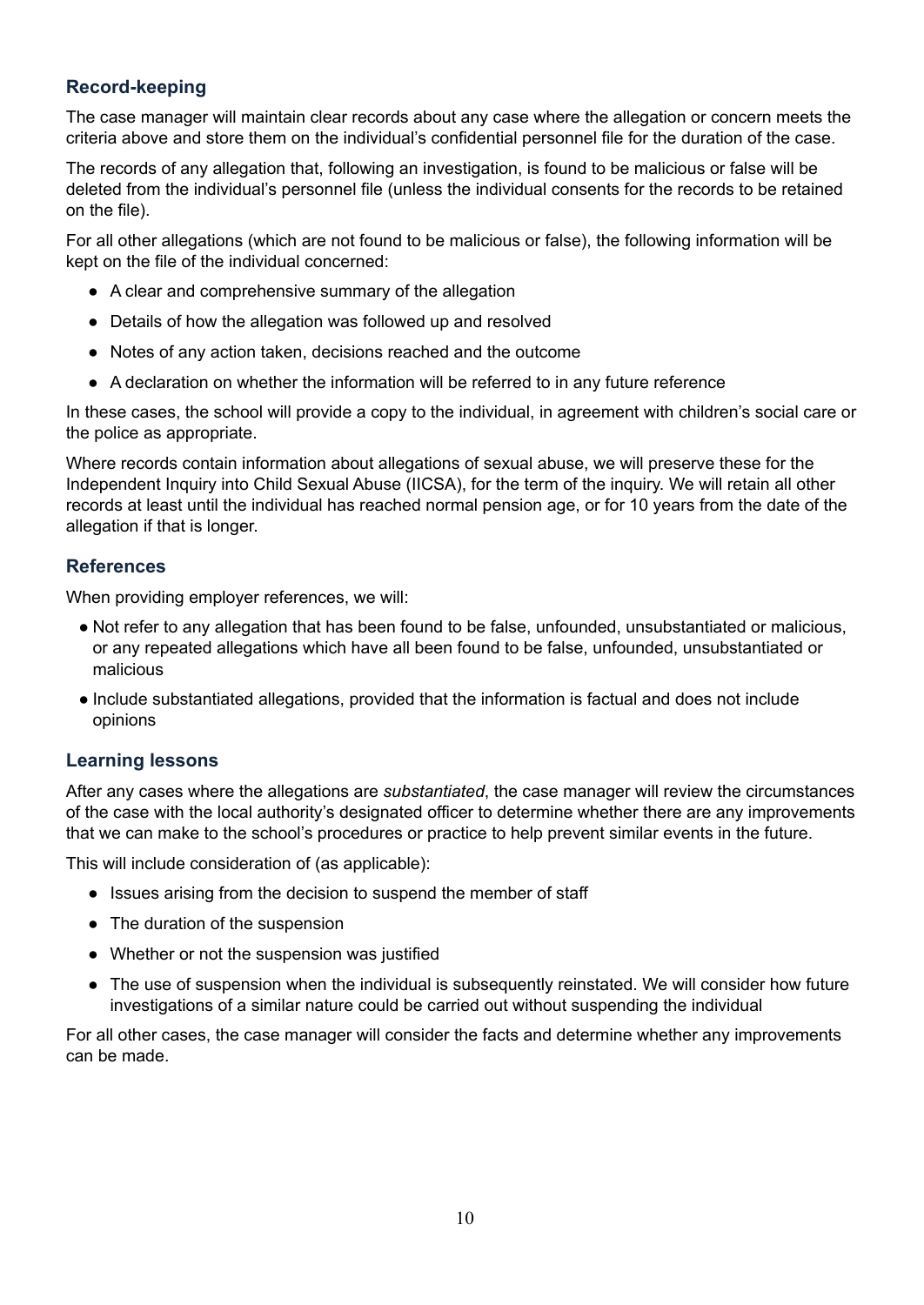# **Record-keeping**

The case manager will maintain clear records about any case where the allegation or concern meets the criteria above and store them on the individual's confidential personnel file for the duration of the case.

The records of any allegation that, following an investigation, is found to be malicious or false will be deleted from the individual's personnel file (unless the individual consents for the records to be retained on the file).

For all other allegations (which are not found to be malicious or false), the following information will be kept on the file of the individual concerned:

- A clear and comprehensive summary of the allegation
- Details of how the allegation was followed up and resolved
- Notes of any action taken, decisions reached and the outcome
- A declaration on whether the information will be referred to in any future reference

In these cases, the school will provide a copy to the individual, in agreement with children's social care or the police as appropriate.

Where records contain information about allegations of sexual abuse, we will preserve these for the Independent Inquiry into Child Sexual Abuse (IICSA), for the term of the inquiry. We will retain all other records at least until the individual has reached normal pension age, or for 10 years from the date of the allegation if that is longer.

#### **References**

When providing employer references, we will:

- Not refer to any allegation that has been found to be false, unfounded, unsubstantiated or malicious, or any repeated allegations which have all been found to be false, unfounded, unsubstantiated or malicious
- Include substantiated allegations, provided that the information is factual and does not include opinions

### **Learning lessons**

After any cases where the allegations are *substantiated*, the case manager will review the circumstances of the case with the local authority's designated officer to determine whether there are any improvements that we can make to the school's procedures or practice to help prevent similar events in the future.

This will include consideration of (as applicable):

- Issues arising from the decision to suspend the member of staff
- The duration of the suspension
- Whether or not the suspension was justified
- The use of suspension when the individual is subsequently reinstated. We will consider how future investigations of a similar nature could be carried out without suspending the individual

For all other cases, the case manager will consider the facts and determine whether any improvements can be made.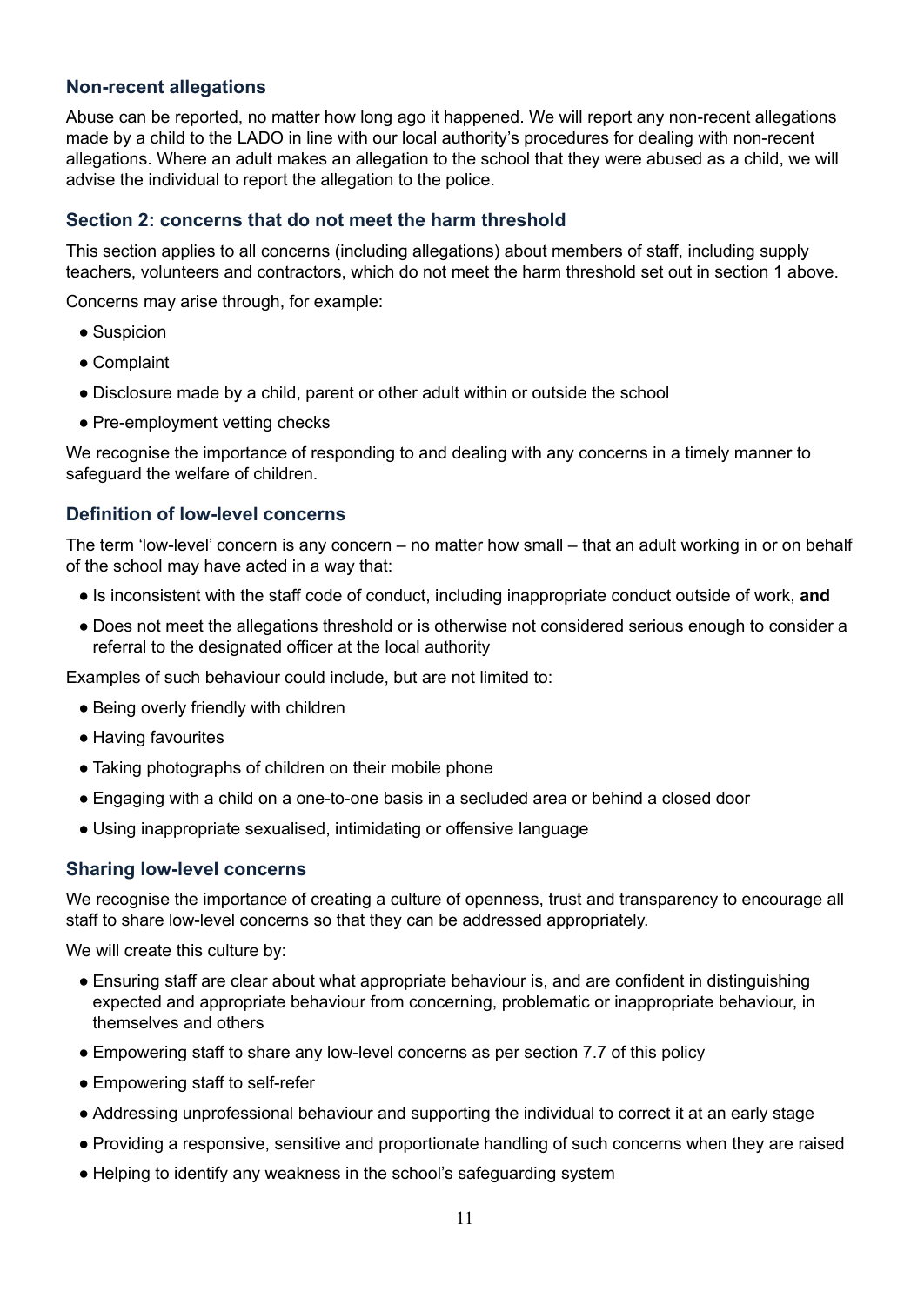### **Non-recent allegations**

Abuse can be reported, no matter how long ago it happened. We will report any non-recent allegations made by a child to the LADO in line with our local authority's procedures for dealing with non-recent allegations. Where an adult makes an allegation to the school that they were abused as a child, we will advise the individual to report the allegation to the police.

#### **Section 2: concerns that do not meet the harm threshold**

This section applies to all concerns (including allegations) about members of staff, including supply teachers, volunteers and contractors, which do not meet the harm threshold set out in section 1 above.

Concerns may arise through, for example:

- Suspicion
- Complaint
- Disclosure made by a child, parent or other adult within or outside the school
- Pre-employment vetting checks

We recognise the importance of responding to and dealing with any concerns in a timely manner to safeguard the welfare of children.

#### **Definition of low-level concerns**

The term 'low-level' concern is any concern – no matter how small – that an adult working in or on behalf of the school may have acted in a way that:

- Is inconsistent with the staff code of conduct, including inappropriate conduct outside of work, **and**
- Does not meet the allegations threshold or is otherwise not considered serious enough to consider a referral to the designated officer at the local authority

Examples of such behaviour could include, but are not limited to:

- Being overly friendly with children
- Having favourites
- Taking photographs of children on their mobile phone
- Engaging with a child on a one-to-one basis in a secluded area or behind a closed door
- Using inappropriate sexualised, intimidating or offensive language

#### **Sharing low-level concerns**

We recognise the importance of creating a culture of openness, trust and transparency to encourage all staff to share low-level concerns so that they can be addressed appropriately.

We will create this culture by:

- Ensuring staff are clear about what appropriate behaviour is, and are confident in distinguishing expected and appropriate behaviour from concerning, problematic or inappropriate behaviour, in themselves and others
- Empowering staff to share any low-level concerns as per section 7.7 of this policy
- Empowering staff to self-refer
- Addressing unprofessional behaviour and supporting the individual to correct it at an early stage
- Providing a responsive, sensitive and proportionate handling of such concerns when they are raised
- Helping to identify any weakness in the school's safeguarding system